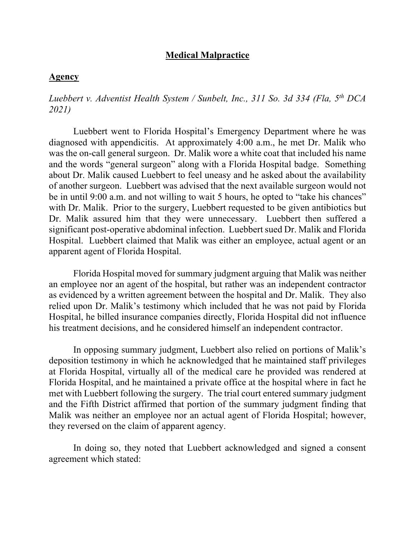## **Medical Malpractice**

#### **Agency**

*Luebbert v. Adventist Health System / Sunbelt, Inc., 311 So. 3d 334 (Fla, 5th DCA 2021)*

Luebbert went to Florida Hospital's Emergency Department where he was diagnosed with appendicitis. At approximately 4:00 a.m., he met Dr. Malik who was the on-call general surgeon. Dr. Malik wore a white coat that included his name and the words "general surgeon" along with a Florida Hospital badge. Something about Dr. Malik caused Luebbert to feel uneasy and he asked about the availability of another surgeon. Luebbert was advised that the next available surgeon would not be in until 9:00 a.m. and not willing to wait 5 hours, he opted to "take his chances" with Dr. Malik. Prior to the surgery, Luebbert requested to be given antibiotics but Dr. Malik assured him that they were unnecessary. Luebbert then suffered a significant post-operative abdominal infection. Luebbert sued Dr. Malik and Florida Hospital. Luebbert claimed that Malik was either an employee, actual agent or an apparent agent of Florida Hospital.

Florida Hospital moved for summary judgment arguing that Malik was neither an employee nor an agent of the hospital, but rather was an independent contractor as evidenced by a written agreement between the hospital and Dr. Malik. They also relied upon Dr. Malik's testimony which included that he was not paid by Florida Hospital, he billed insurance companies directly, Florida Hospital did not influence his treatment decisions, and he considered himself an independent contractor.

In opposing summary judgment, Luebbert also relied on portions of Malik's deposition testimony in which he acknowledged that he maintained staff privileges at Florida Hospital, virtually all of the medical care he provided was rendered at Florida Hospital, and he maintained a private office at the hospital where in fact he met with Luebbert following the surgery. The trial court entered summary judgment and the Fifth District affirmed that portion of the summary judgment finding that Malik was neither an employee nor an actual agent of Florida Hospital; however, they reversed on the claim of apparent agency.

In doing so, they noted that Luebbert acknowledged and signed a consent agreement which stated: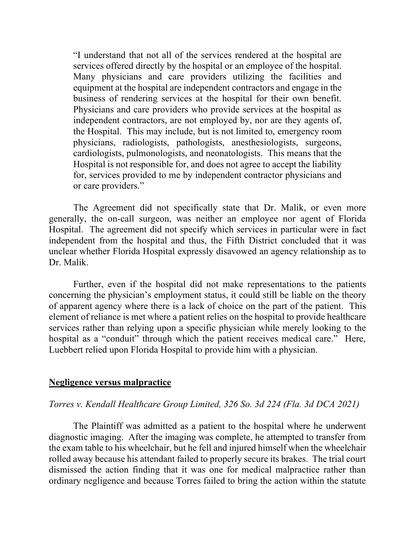"I understand that not all of the services rendered at the hospital are services offered directly by the hospital or an employee of the hospital. Many physicians and care providers utilizing the facilities and equipment at the hospital are independent contractors and engage in the business of rendering services at the hospital for their own benefit. Physicians and care providers who provide services at the hospital as independent contractors, are not employed by, nor are they agents of, the Hospital. This may include, but is not limited to, emergency room physicians, radiologists, pathologists, anesthesiologists, surgeons, cardiologists, pulmonologists, and neonatologists. This means that the Hospital is not responsible for, and does not agree to accept the liability for, services provided to me by independent contractor physicians and or care providers."

The Agreement did not specifically state that Dr. Malik, or even more generally, the on-call surgeon, was neither an employee nor agent of Florida Hospital. The agreement did not specify which services in particular were in fact independent from the hospital and thus, the Fifth District concluded that it was unclear whether Florida Hospital expressly disavowed an agency relationship as to Dr. Malik.

Further, even if the hospital did not make representations to the patients concerning the physician's employment status, it could still be liable on the theory of apparent agency where there is a lack of choice on the part of the patient. This element of reliance is met where a patient relies on the hospital to provide healthcare services rather than relying upon a specific physician while merely looking to the hospital as a "conduit" through which the patient receives medical care." Here, Luebbert relied upon Florida Hospital to provide him with a physician.

#### **Negligence versus malpractice**

## *Torres v. Kendall Healthcare Group Limited, 326 So. 3d 224 (Fla. 3d DCA 2021)*

The Plaintiff was admitted as a patient to the hospital where he underwent diagnostic imaging. After the imaging was complete, he attempted to transfer from the exam table to his wheelchair, but he fell and injured himself when the wheelchair rolled away because his attendant failed to properly secure its brakes. The trial court dismissed the action finding that it was one for medical malpractice rather than ordinary negligence and because Torres failed to bring the action within the statute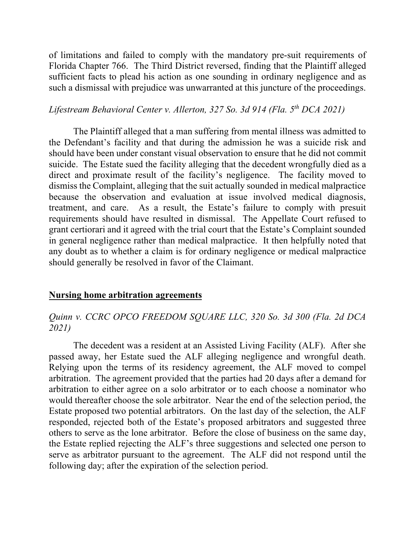of limitations and failed to comply with the mandatory pre-suit requirements of Florida Chapter 766. The Third District reversed, finding that the Plaintiff alleged sufficient facts to plead his action as one sounding in ordinary negligence and as such a dismissal with prejudice was unwarranted at this juncture of the proceedings.

# *Lifestream Behavioral Center v. Allerton, 327 So. 3d 914 (Fla. 5th DCA 2021)*

The Plaintiff alleged that a man suffering from mental illness was admitted to the Defendant's facility and that during the admission he was a suicide risk and should have been under constant visual observation to ensure that he did not commit suicide. The Estate sued the facility alleging that the decedent wrongfully died as a direct and proximate result of the facility's negligence. The facility moved to dismiss the Complaint, alleging that the suit actually sounded in medical malpractice because the observation and evaluation at issue involved medical diagnosis, treatment, and care. As a result, the Estate's failure to comply with presuit requirements should have resulted in dismissal. The Appellate Court refused to grant certiorari and it agreed with the trial court that the Estate's Complaint sounded in general negligence rather than medical malpractice. It then helpfully noted that any doubt as to whether a claim is for ordinary negligence or medical malpractice should generally be resolved in favor of the Claimant.

### **Nursing home arbitration agreements**

## *Quinn v. CCRC OPCO FREEDOM SQUARE LLC, 320 So. 3d 300 (Fla. 2d DCA 2021)*

The decedent was a resident at an Assisted Living Facility (ALF). After she passed away, her Estate sued the ALF alleging negligence and wrongful death. Relying upon the terms of its residency agreement, the ALF moved to compel arbitration. The agreement provided that the parties had 20 days after a demand for arbitration to either agree on a solo arbitrator or to each choose a nominator who would thereafter choose the sole arbitrator. Near the end of the selection period, the Estate proposed two potential arbitrators. On the last day of the selection, the ALF responded, rejected both of the Estate's proposed arbitrators and suggested three others to serve as the lone arbitrator. Before the close of business on the same day, the Estate replied rejecting the ALF's three suggestions and selected one person to serve as arbitrator pursuant to the agreement. The ALF did not respond until the following day; after the expiration of the selection period.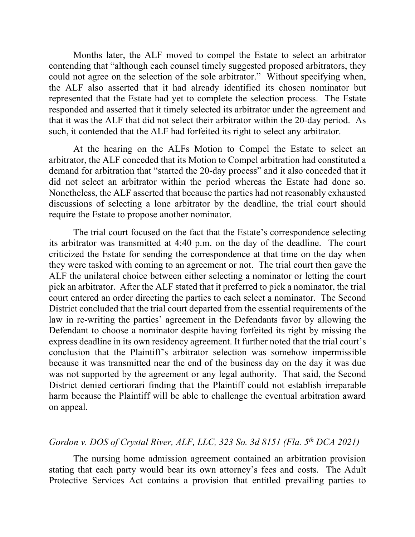Months later, the ALF moved to compel the Estate to select an arbitrator contending that "although each counsel timely suggested proposed arbitrators, they could not agree on the selection of the sole arbitrator." Without specifying when, the ALF also asserted that it had already identified its chosen nominator but represented that the Estate had yet to complete the selection process. The Estate responded and asserted that it timely selected its arbitrator under the agreement and that it was the ALF that did not select their arbitrator within the 20-day period. As such, it contended that the ALF had forfeited its right to select any arbitrator.

At the hearing on the ALFs Motion to Compel the Estate to select an arbitrator, the ALF conceded that its Motion to Compel arbitration had constituted a demand for arbitration that "started the 20-day process" and it also conceded that it did not select an arbitrator within the period whereas the Estate had done so. Nonetheless, the ALF asserted that because the parties had not reasonably exhausted discussions of selecting a lone arbitrator by the deadline, the trial court should require the Estate to propose another nominator.

The trial court focused on the fact that the Estate's correspondence selecting its arbitrator was transmitted at 4:40 p.m. on the day of the deadline. The court criticized the Estate for sending the correspondence at that time on the day when they were tasked with coming to an agreement or not. The trial court then gave the ALF the unilateral choice between either selecting a nominator or letting the court pick an arbitrator. After the ALF stated that it preferred to pick a nominator, the trial court entered an order directing the parties to each select a nominator. The Second District concluded that the trial court departed from the essential requirements of the law in re-writing the parties' agreement in the Defendants favor by allowing the Defendant to choose a nominator despite having forfeited its right by missing the express deadline in its own residency agreement. It further noted that the trial court's conclusion that the Plaintiff's arbitrator selection was somehow impermissible because it was transmitted near the end of the business day on the day it was due was not supported by the agreement or any legal authority. That said, the Second District denied certiorari finding that the Plaintiff could not establish irreparable harm because the Plaintiff will be able to challenge the eventual arbitration award on appeal.

# *Gordon v. DOS of Crystal River, ALF, LLC, 323 So. 3d 8151 (Fla. 5th DCA 2021)*

The nursing home admission agreement contained an arbitration provision stating that each party would bear its own attorney's fees and costs. The Adult Protective Services Act contains a provision that entitled prevailing parties to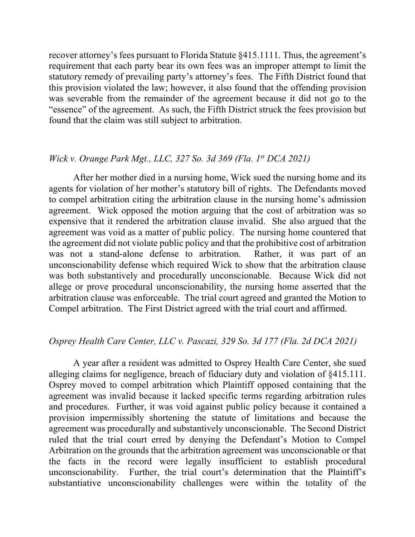recover attorney's fees pursuant to Florida Statute §415.1111. Thus, the agreement's requirement that each party bear its own fees was an improper attempt to limit the statutory remedy of prevailing party's attorney's fees. The Fifth District found that this provision violated the law; however, it also found that the offending provision was severable from the remainder of the agreement because it did not go to the "essence" of the agreement. As such, the Fifth District struck the fees provision but found that the claim was still subject to arbitration.

## *Wick v. Orange Park Mgt., LLC, 327 So. 3d 369 (Fla. 1st DCA 2021)*

After her mother died in a nursing home, Wick sued the nursing home and its agents for violation of her mother's statutory bill of rights. The Defendants moved to compel arbitration citing the arbitration clause in the nursing home's admission agreement. Wick opposed the motion arguing that the cost of arbitration was so expensive that it rendered the arbitration clause invalid. She also argued that the agreement was void as a matter of public policy. The nursing home countered that the agreement did not violate public policy and that the prohibitive cost of arbitration was not a stand-alone defense to arbitration. Rather, it was part of an unconscionability defense which required Wick to show that the arbitration clause was both substantively and procedurally unconscionable. Because Wick did not allege or prove procedural unconscionability, the nursing home asserted that the arbitration clause was enforceable. The trial court agreed and granted the Motion to Compel arbitration. The First District agreed with the trial court and affirmed.

## *Osprey Health Care Center, LLC v. Pascazi, 329 So. 3d 177 (Fla. 2d DCA 2021)*

A year after a resident was admitted to Osprey Health Care Center, she sued alleging claims for negligence, breach of fiduciary duty and violation of §415.111. Osprey moved to compel arbitration which Plaintiff opposed containing that the agreement was invalid because it lacked specific terms regarding arbitration rules and procedures. Further, it was void against public policy because it contained a provision impermissibly shortening the statute of limitations and because the agreement was procedurally and substantively unconscionable. The Second District ruled that the trial court erred by denying the Defendant's Motion to Compel Arbitration on the grounds that the arbitration agreement was unconscionable or that the facts in the record were legally insufficient to establish procedural unconscionability. Further, the trial court's determination that the Plaintiff's substantiative unconscionability challenges were within the totality of the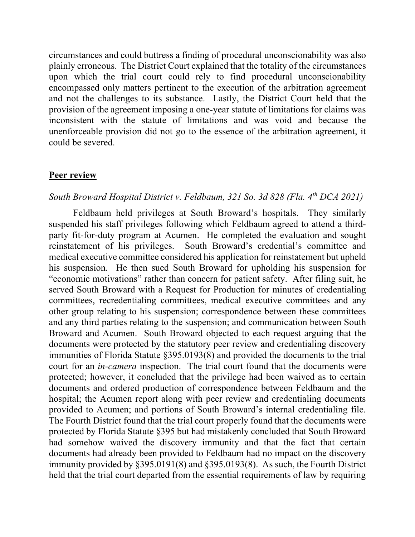circumstances and could buttress a finding of procedural unconscionability was also plainly erroneous. The District Court explained that the totality of the circumstances upon which the trial court could rely to find procedural unconscionability encompassed only matters pertinent to the execution of the arbitration agreement and not the challenges to its substance. Lastly, the District Court held that the provision of the agreement imposing a one-year statute of limitations for claims was inconsistent with the statute of limitations and was void and because the unenforceable provision did not go to the essence of the arbitration agreement, it could be severed.

#### **Peer review**

## *South Broward Hospital District v. Feldbaum, 321 So. 3d 828 (Fla. 4th DCA 2021)*

Feldbaum held privileges at South Broward's hospitals. They similarly suspended his staff privileges following which Feldbaum agreed to attend a thirdparty fit-for-duty program at Acumen. He completed the evaluation and sought reinstatement of his privileges. South Broward's credential's committee and medical executive committee considered his application for reinstatement but upheld his suspension. He then sued South Broward for upholding his suspension for "economic motivations" rather than concern for patient safety. After filing suit, he served South Broward with a Request for Production for minutes of credentialing committees, recredentialing committees, medical executive committees and any other group relating to his suspension; correspondence between these committees and any third parties relating to the suspension; and communication between South Broward and Acumen. South Broward objected to each request arguing that the documents were protected by the statutory peer review and credentialing discovery immunities of Florida Statute §395.0193(8) and provided the documents to the trial court for an *in-camera* inspection. The trial court found that the documents were protected; however, it concluded that the privilege had been waived as to certain documents and ordered production of correspondence between Feldbaum and the hospital; the Acumen report along with peer review and credentialing documents provided to Acumen; and portions of South Broward's internal credentialing file. The Fourth District found that the trial court properly found that the documents were protected by Florida Statute §395 but had mistakenly concluded that South Broward had somehow waived the discovery immunity and that the fact that certain documents had already been provided to Feldbaum had no impact on the discovery immunity provided by §395.0191(8) and §395.0193(8). As such, the Fourth District held that the trial court departed from the essential requirements of law by requiring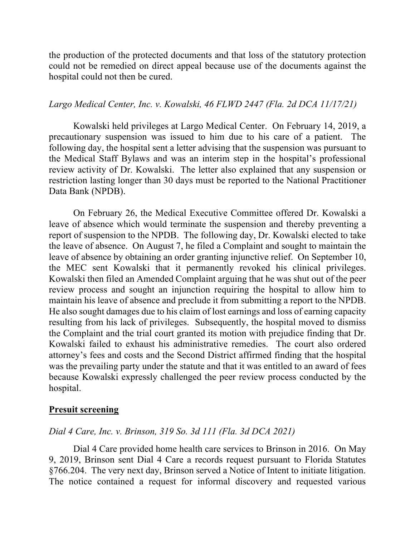the production of the protected documents and that loss of the statutory protection could not be remedied on direct appeal because use of the documents against the hospital could not then be cured.

### *Largo Medical Center, Inc. v. Kowalski, 46 FLWD 2447 (Fla. 2d DCA 11/17/21)*

Kowalski held privileges at Largo Medical Center. On February 14, 2019, a precautionary suspension was issued to him due to his care of a patient. The following day, the hospital sent a letter advising that the suspension was pursuant to the Medical Staff Bylaws and was an interim step in the hospital's professional review activity of Dr. Kowalski. The letter also explained that any suspension or restriction lasting longer than 30 days must be reported to the National Practitioner Data Bank (NPDB).

On February 26, the Medical Executive Committee offered Dr. Kowalski a leave of absence which would terminate the suspension and thereby preventing a report of suspension to the NPDB. The following day, Dr. Kowalski elected to take the leave of absence. On August 7, he filed a Complaint and sought to maintain the leave of absence by obtaining an order granting injunctive relief. On September 10, the MEC sent Kowalski that it permanently revoked his clinical privileges. Kowalski then filed an Amended Complaint arguing that he was shut out of the peer review process and sought an injunction requiring the hospital to allow him to maintain his leave of absence and preclude it from submitting a report to the NPDB. He also sought damages due to his claim of lost earnings and loss of earning capacity resulting from his lack of privileges. Subsequently, the hospital moved to dismiss the Complaint and the trial court granted its motion with prejudice finding that Dr. Kowalski failed to exhaust his administrative remedies. The court also ordered attorney's fees and costs and the Second District affirmed finding that the hospital was the prevailing party under the statute and that it was entitled to an award of fees because Kowalski expressly challenged the peer review process conducted by the hospital.

#### **Presuit screening**

#### *Dial 4 Care, Inc. v. Brinson, 319 So. 3d 111 (Fla. 3d DCA 2021)*

Dial 4 Care provided home health care services to Brinson in 2016. On May 9, 2019, Brinson sent Dial 4 Care a records request pursuant to Florida Statutes §766.204. The very next day, Brinson served a Notice of Intent to initiate litigation. The notice contained a request for informal discovery and requested various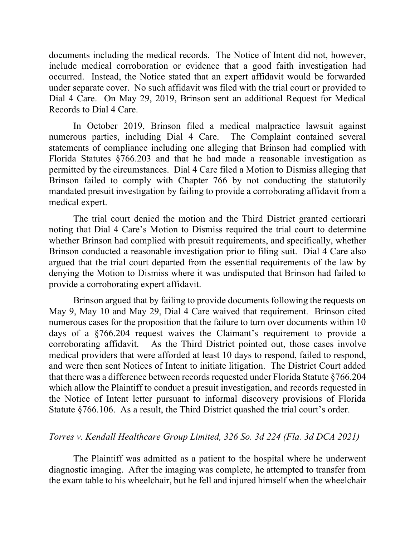documents including the medical records. The Notice of Intent did not, however, include medical corroboration or evidence that a good faith investigation had occurred. Instead, the Notice stated that an expert affidavit would be forwarded under separate cover. No such affidavit was filed with the trial court or provided to Dial 4 Care. On May 29, 2019, Brinson sent an additional Request for Medical Records to Dial 4 Care.

In October 2019, Brinson filed a medical malpractice lawsuit against numerous parties, including Dial 4 Care. The Complaint contained several statements of compliance including one alleging that Brinson had complied with Florida Statutes §766.203 and that he had made a reasonable investigation as permitted by the circumstances. Dial 4 Care filed a Motion to Dismiss alleging that Brinson failed to comply with Chapter 766 by not conducting the statutorily mandated presuit investigation by failing to provide a corroborating affidavit from a medical expert.

The trial court denied the motion and the Third District granted certiorari noting that Dial 4 Care's Motion to Dismiss required the trial court to determine whether Brinson had complied with presuit requirements, and specifically, whether Brinson conducted a reasonable investigation prior to filing suit. Dial 4 Care also argued that the trial court departed from the essential requirements of the law by denying the Motion to Dismiss where it was undisputed that Brinson had failed to provide a corroborating expert affidavit.

Brinson argued that by failing to provide documents following the requests on May 9, May 10 and May 29, Dial 4 Care waived that requirement. Brinson cited numerous cases for the proposition that the failure to turn over documents within 10 days of a §766.204 request waives the Claimant's requirement to provide a corroborating affidavit. As the Third District pointed out, those cases involve medical providers that were afforded at least 10 days to respond, failed to respond, and were then sent Notices of Intent to initiate litigation. The District Court added that there was a difference between records requested under Florida Statute §766.204 which allow the Plaintiff to conduct a presuit investigation, and records requested in the Notice of Intent letter pursuant to informal discovery provisions of Florida Statute §766.106. As a result, the Third District quashed the trial court's order.

# *Torres v. Kendall Healthcare Group Limited, 326 So. 3d 224 (Fla. 3d DCA 2021)*

The Plaintiff was admitted as a patient to the hospital where he underwent diagnostic imaging. After the imaging was complete, he attempted to transfer from the exam table to his wheelchair, but he fell and injured himself when the wheelchair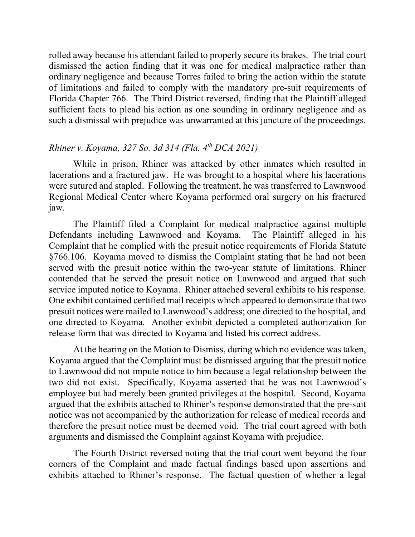rolled away because his attendant failed to properly secure its brakes. The trial court dismissed the action finding that it was one for medical malpractice rather than ordinary negligence and because Torres failed to bring the action within the statute of limitations and failed to comply with the mandatory pre-suit requirements of Florida Chapter 766. The Third District reversed, finding that the Plaintiff alleged sufficient facts to plead his action as one sounding in ordinary negligence and as such a dismissal with prejudice was unwarranted at this juncture of the proceedings.

## *Rhiner v. Koyama, 327 So. 3d 314 (Fla. 4th DCA 2021)*

While in prison, Rhiner was attacked by other inmates which resulted in lacerations and a fractured jaw. He was brought to a hospital where his lacerations were sutured and stapled. Following the treatment, he was transferred to Lawnwood Regional Medical Center where Koyama performed oral surgery on his fractured jaw.

The Plaintiff filed a Complaint for medical malpractice against multiple Defendants including Lawnwood and Koyama. The Plaintiff alleged in his Complaint that he complied with the presuit notice requirements of Florida Statute §766.106. Koyama moved to dismiss the Complaint stating that he had not been served with the presuit notice within the two-year statute of limitations. Rhiner contended that he served the presuit notice on Lawnwood and argued that such service imputed notice to Koyama. Rhiner attached several exhibits to his response. One exhibit contained certified mail receipts which appeared to demonstrate that two presuit notices were mailed to Lawnwood's address; one directed to the hospital, and one directed to Koyama. Another exhibit depicted a completed authorization for release form that was directed to Koyama and listed his correct address.

At the hearing on the Motion to Dismiss, during which no evidence was taken, Koyama argued that the Complaint must be dismissed arguing that the presuit notice to Lawnwood did not impute notice to him because a legal relationship between the two did not exist. Specifically, Koyama asserted that he was not Lawnwood's employee but had merely been granted privileges at the hospital. Second, Koyama argued that the exhibits attached to Rhiner's response demonstrated that the pre-suit notice was not accompanied by the authorization for release of medical records and therefore the presuit notice must be deemed void. The trial court agreed with both arguments and dismissed the Complaint against Koyama with prejudice.

The Fourth District reversed noting that the trial court went beyond the four corners of the Complaint and made factual findings based upon assertions and exhibits attached to Rhiner's response. The factual question of whether a legal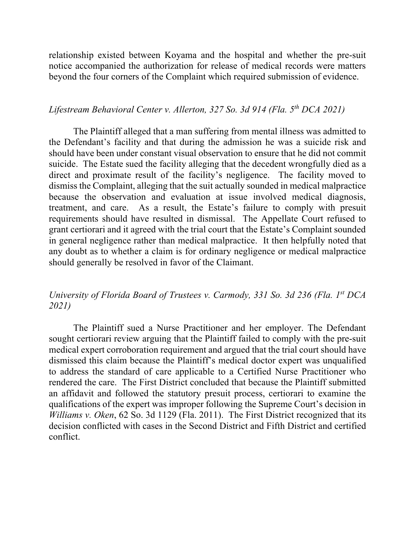relationship existed between Koyama and the hospital and whether the pre-suit notice accompanied the authorization for release of medical records were matters beyond the four corners of the Complaint which required submission of evidence.

### *Lifestream Behavioral Center v. Allerton, 327 So. 3d 914 (Fla. 5th DCA 2021)*

The Plaintiff alleged that a man suffering from mental illness was admitted to the Defendant's facility and that during the admission he was a suicide risk and should have been under constant visual observation to ensure that he did not commit suicide. The Estate sued the facility alleging that the decedent wrongfully died as a direct and proximate result of the facility's negligence. The facility moved to dismiss the Complaint, alleging that the suit actually sounded in medical malpractice because the observation and evaluation at issue involved medical diagnosis, treatment, and care. As a result, the Estate's failure to comply with presuit requirements should have resulted in dismissal. The Appellate Court refused to grant certiorari and it agreed with the trial court that the Estate's Complaint sounded in general negligence rather than medical malpractice. It then helpfully noted that any doubt as to whether a claim is for ordinary negligence or medical malpractice should generally be resolved in favor of the Claimant.

# *University of Florida Board of Trustees v. Carmody, 331 So. 3d 236 (Fla. 1st DCA 2021)*

The Plaintiff sued a Nurse Practitioner and her employer. The Defendant sought certiorari review arguing that the Plaintiff failed to comply with the pre-suit medical expert corroboration requirement and argued that the trial court should have dismissed this claim because the Plaintiff's medical doctor expert was unqualified to address the standard of care applicable to a Certified Nurse Practitioner who rendered the care. The First District concluded that because the Plaintiff submitted an affidavit and followed the statutory presuit process, certiorari to examine the qualifications of the expert was improper following the Supreme Court's decision in *Williams v. Oken*, 62 So. 3d 1129 (Fla. 2011). The First District recognized that its decision conflicted with cases in the Second District and Fifth District and certified conflict.